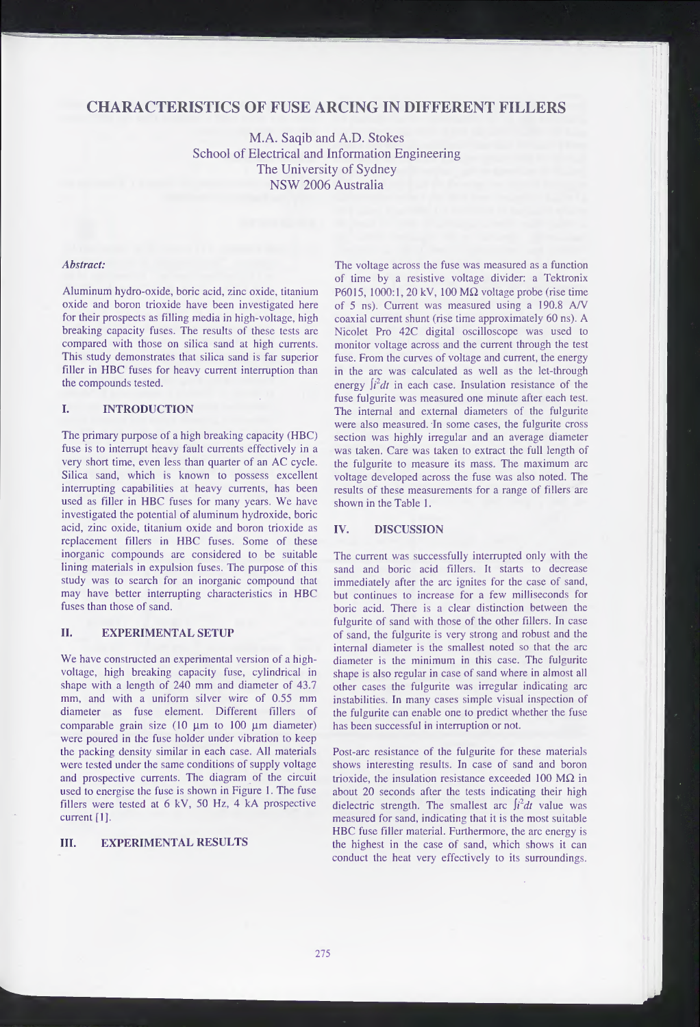# **CHARACTERISTICS OF FUSE ARCING IN DIFFERENT FILLERS**

M.A. Saqib and A.D. Stokes School of Electrical and Information Engineering The University of Sydney NSW 2006 Australia

#### *Abstract:*

Aluminum hydro-oxide, boric acid, zinc oxide, titanium oxide and boron trioxide have been investigated here for their prospects as filling media in high-voltage, high breaking capacity fuses. The results of these tests are compared with those on silica sand at high currents. This study demonstrates that silica sand is far superior filler in HBC fuses for heavy current interruption than the compounds tested.

## I. INTRODUCTION

The primary purpose of a high breaking capacity (HBC) fuse is to interrupt heavy fault currents effectively in a very short time, even less than quarter of an AC cycle. Silica sand, which is known to possess excellent interrupting capabilities at heavy currents, has been used as filler in HBC fuses for many years. We have investigated the potential of aluminum hydroxide, boric acid, zinc oxide, titanium oxide and boron trioxide as replacement fillers in HBC fuses. Some of these inorganic compounds are considered to be suitable lining materials in expulsion fuses. The purpose of this study was to search for an inorganic compound that may have better interrupting characteristics in HBC fuses than those of sand.

### II. EXPERIMENTAL SETUP

We have constructed an experimental version of a highvoltage, high breaking capacity fuse, cylindrical in shape with a length of 240 mm and diameter of 43.7 mm, and with a uniform silver wire of 0.55 mm diameter as fuse element. Different fillers of comparable grain size  $(10 \mu m)$  to  $100 \mu m$  diameter) were poured in the fuse holder under vibration to keep the packing density similar in each case. All materials were tested under the same conditions of supply voltage and prospective currents. The diagram of the circuit used to energise the fuse is shown in Figure 1. The fuse fillers were tested at 6 kV, 50 Hz, 4 kA prospective current [1].

#### III. EXPERIMENTAL RESULTS

The voltage across the fuse was measured as a function of time by a resistive voltage divider: a Tektronix P6015, 1000:1, 20 kV, 100 M $\Omega$  voltage probe (rise time of 5 ns). Current was measured using a 190.8 *A/V* coaxial current shunt (rise time approximately 60 ns). A Nicolet Pro 42C digital oscilloscope was used to monitor voltage across and the current through the test fuse. From the curves of voltage and current, the energy in the arc was calculated as well as the let-through energy  $\int i^2 dt$  in each case. Insulation resistance of the fuse fulgurite was measured one minute after each test. The internal and external diameters of the fulgurite were also measured. In some cases, the fulgurite cross section was highly irregular and an average diameter was taken. Care was taken to extract the full length of the fulgurite to measure its mass. The maximum arc voltage developed across the fuse was also noted. The results of these measurements for a range of fillers are shown in the Table 1. I A.D. Stockes<br>of of Sydney<br>of Sydney<br>of Sydney<br>and Engineering and the statistic voltage divider; a Teknotink<br>of this by a resistive voltage divider; a Teknotink<br>P6015, 1000:1, 20 kV, 100 M2 voltage probe (rise time<br>ocaai

The current was successfully interrupted only with the sand and boric acid fillers. It starts to decrease immediately after the arc ignites for the case of sand, but continues to increase for a few milliseconds for boric acid. There is a clear distinction between the fulgurite of sand with those of the other fillers. In case of sand, the fulgurite is very strong and robust and the internal diameter is the smallest noted so that the arc diameter is the minimum in this case. The fulgurite shape is also regular in case of sand where in almost all other cases the fulgurite was irregular indicating arc instabilities. In many cases simple visual inspection of the fulgurite can enable one to predict whether the fuse has been successful in interruption or not.

Post-arc resistance of the fulgurite for these materials shows interesting results. In case of sand and boron trioxide, the insulation resistance exceeded 100 M $\Omega$  in about 20 seconds after the tests indicating their high dielectric strength. The smallest arc  $\int i^2 dt$  value was measured for sand, indicating that it is the most suitable HBC fuse filler material. Furthermore, the arc energy is the highest in the case of sand, which shows it can conduct the heat very effectively to its surroundings.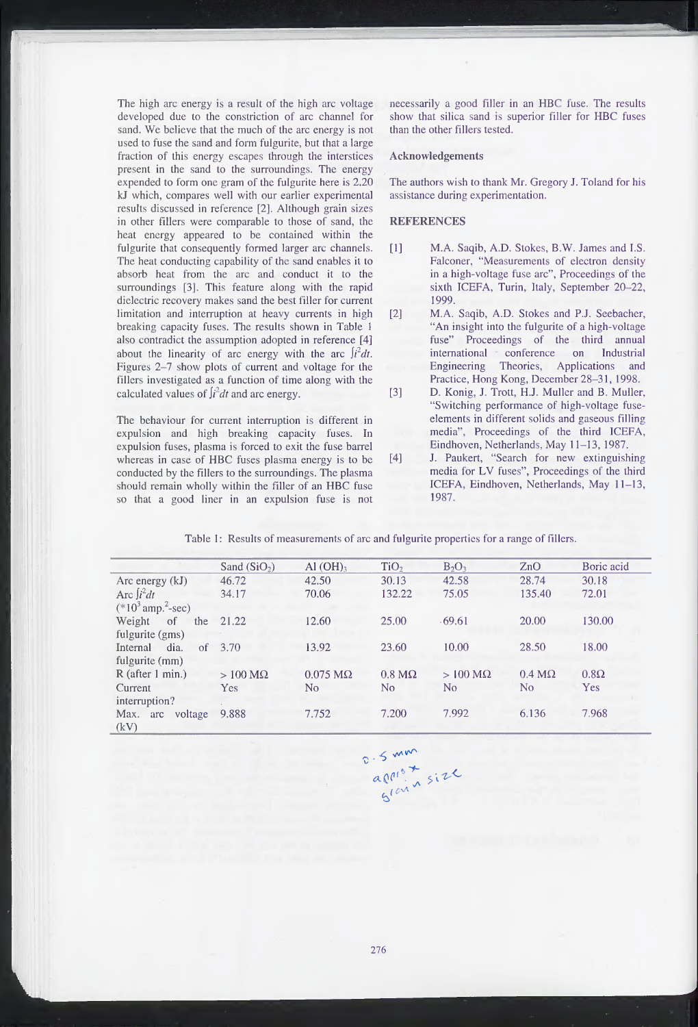The high arc energy is a result of the high arc voltage developed due to the constriction of arc channel for sand. We believe that the much of the arc energy is not used to fuse the sand and form fulgurite, but that a large fraction of this energy escapes through the interstices present in the sand to the surroundings. The energy expended to form one gram of the fulgurite here is 2.20 kJ which, compares well with our earlier experimental results discussed in reference [2], Although grain sizes in other fillers were comparable to those of sand, the heat energy appeared to be contained within the fulgurite that consequently formed larger arc channels. The heat conducting capability of the sand enables it to absorb heat from the arc and conduct it to the surroundings [3]. This feature along with the rapid dielectric recovery makes sand the best filler for current limitation and interruption at heavy currents in high breaking capacity fuses. The results shown in Table <sup>1</sup> also contradict the assumption adopted in reference [4] about the linearity of arc energy with the arc  $\int i^2 dt$ . Figures 2-7 show plots of current and voltage for the fillers investigated as a function of time along with the calculated values of  $\int_l^2 dt$  and arc energy.

The behaviour for current interruption is different in expulsion and high breaking capacity fuses. In expulsion fuses, plasma is forced to exit the fuse barrel whereas in case of HBC fuses plasma energy is to be conducted by the fillers to the surroundings. The plasma should remain wholly within the filler of an HBC fuse so that a good liner in an expulsion fuse is not necessarily a good filler in an HBC fuse. The results show that silica sand is superior filler for HBC fuses than the other fillers tested.

#### **Acknowledgements**

The authors wish to thank Mr. Gregory J. Toland for his assistance during experimentation.

#### **REFERENCES**

- [1] M.A. Saqib, A.D. Stokes, B.W. James and I.S. Falconer, "Measurements of electron density in a high-voltage fuse arc", Proceedings of the sixth ICEFA, Turin, Italy, September 20-22, 1999.
- [2] M.A. Saqib, A.D. Stokes and P.J. Seebacher, "An insight into the fulgurite of a high-voltage fuse" Proceedings of the third annual international conference on Industrial Engineering Theories, Applications and Practice, Hong Kong, December 28-31, 1998.
- [3] D. Konig, J. Trott, H.J. Muller and B. Muller, "Switching performance of high-voltage fuseelements in different solids and gaseous filling media", Proceedings of the third ICEFA, Eindhoven, Netherlands, May 11-13, 1987.
- [4] J. Paukert, "Search for new extinguishing media for LV fuses", Proceedings of the third ICEFA, Eindhoven, Netherlands, May 11-13, 1987.

|  |  |  |  |  |  | Table 1: Results of measurements of arc and fulgurite properties for a range of fillers. |
|--|--|--|--|--|--|------------------------------------------------------------------------------------------|
|--|--|--|--|--|--|------------------------------------------------------------------------------------------|

|                                  | Sand $(SiO2)$          | $Al(OH)$ <sub>3</sub>   | TiO <sub>2</sub>      | $B_2O_3$               | ZnO           | Boric acid  |
|----------------------------------|------------------------|-------------------------|-----------------------|------------------------|---------------|-------------|
| Arc energy (kJ)                  | 46.72                  | 42.50                   | 30.13                 | 42.58                  | 28.74         | 30.18       |
| Arc $\int i^2 dt$                | 34.17                  | 70.06                   | 132.22                | 75.05                  | 135.40        | 72.01       |
| $(*10^3$ amp. <sup>2</sup> -sec) |                        |                         |                       |                        |               |             |
| Weight<br>of<br>the              | 21.22                  | 12.60                   | 25.00                 | .69.61                 | 20.00         | 130.00      |
| fulgurite (gms)                  |                        |                         |                       |                        |               |             |
| dia.<br>Internal<br>of           | 3.70                   | 13.92                   | 23.60                 | 10.00                  | 28.50         | 18.00       |
| fulgurite (mm)                   |                        |                         |                       |                        |               |             |
| $R$ (after 1 min.)               | $>100 \text{ M}\Omega$ | $0.075 \text{ M}\Omega$ | $0.8 \text{ M}\Omega$ | $>100 \text{ M}\Omega$ | $0.4 M\Omega$ | $0.8\Omega$ |
| Current                          | <b>Yes</b>             | N <sub>0</sub>          | No.                   | No                     | No            | <b>Yes</b>  |
| interruption?                    |                        |                         |                       |                        |               |             |
| Max.<br>voltage<br>arc           | 9.888                  | 7.752                   | 7.200                 | 7.992                  | 6.136         | 7.968       |
| (kV)                             |                        |                         |                       |                        |               |             |

O. S mm<br>aprist<br>slav v size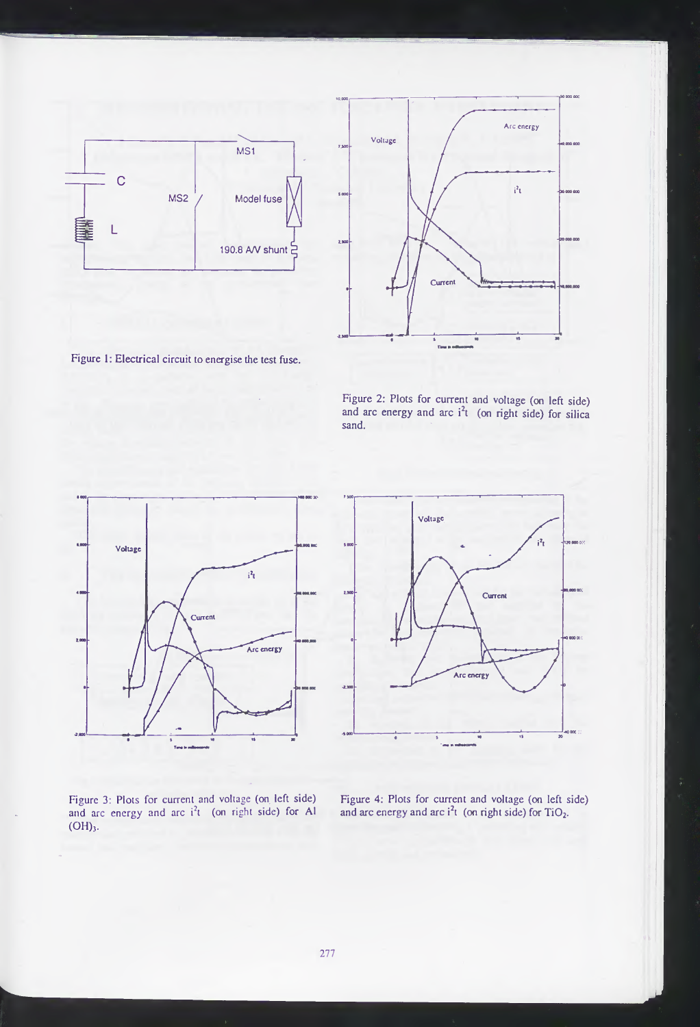



Figure 1: Electrical circuit to energise the test fuse.

Figure 2: Plots for current and voltage (on left side) and arc energy and arc  $i^2t$  (on right side) for silica sand.



Figure 3: Plots for current and voltage (on left side) and arc energy and arc  $i^2t$  (on right side) for Al (OH),.



Figure 4: Plots for current and voltage (on left side) and arc energy and arc  $i^2t$  (on right side) for TiO<sub>2</sub>.